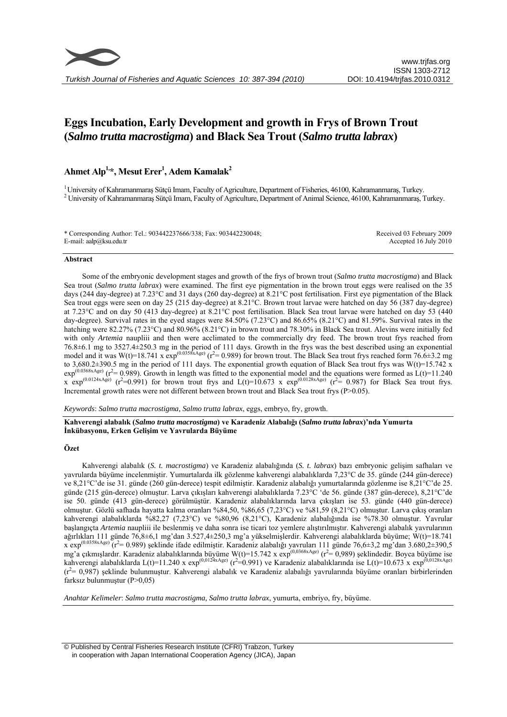

# **Eggs Incubation, Early Development and growth in Frys of Brown Trout (***Salmo trutta macrostigma***) and Black Sea Trout (***Salmo trutta labrax***)**

# Ahmet Alp<sup>1,\*</sup>, Mesut Erer<sup>1</sup>, Adem Kamalak<sup>2</sup>

1 University of Kahramanmaraş Sütçü Imam, Faculty of Agriculture, Department of Fisheries, 46100, Kahramanmaraş, Turkey. 2 University of Kahramanmaraş Sütçü Imam, Faculty of Agriculture, Department of Animal Science, 46100, Kahramanmaraş, Turkey.

\* Corresponding Author: Tel.: 903442237666/338; Fax: 903442230048; E-mail: aalp@ksu.edu.tr Received 03 February 2009 Accepted 16 July 2010

#### **Abstract**

Some of the embryonic development stages and growth of the frys of brown trout (*Salmo trutta macrostigma*) and Black Sea trout (*Salmo trutta labrax*) were examined. The first eye pigmentation in the brown trout eggs were realised on the 35 days (244 day-degree) at 7.23°C and 31 days (260 day-degree) at 8.21°C post fertilisation. First eye pigmentation of the Black Sea trout eggs were seen on day 25 (215 day-degree) at 8.21°C. Brown trout larvae were hatched on day 56 (387 day-degree) at 7.23°C and on day 50 (413 day-degree) at 8.21°C post fertilisation. Black Sea trout larvae were hatched on day 53 (440 day-degree). Survival rates in the eyed stages were 84.50% (7.23°C) and 86.65% (8.21°C) and 81.59%. Survival rates in the hatching were 82.27% (7.23°C) and 80.96% (8.21°C) in brown trout and 78.30% in Black Sea trout. Alevins were initially fed with only *Artemia* naupliii and then were acclimated to the commercially dry feed. The brown trout frys reached from 76.8±6.1 mg to 3527.4±250.3 mg in the period of 111 days. Growth in the frys was the best described using an exponential model and it was W(t)=18.741 x  $\exp^{(0.0358x\text{Age})}$  (r<sup>2</sup>= 0.989) for brown trout. The Black Sea trout frys reached form 76.6±3.2 mg to 3,680.2±390.5 mg in the period of 111 days. The exponential growth equation of Black Sea trout frys was W(t)=15.742 x  $\exp^{(0.0368xAge)}$  (r<sup>2</sup>= 0.989). Growth in length was fitted to the exponential model and the equations were formed as  $L(t)=11.240$ x  $\exp^{(0.0124 \times \text{Age})}$  (r<sup>2</sup>=0.991) for brown trout frys and L(t)=10.673 x  $\exp^{(0.0128 \times \text{Age})}$  (r<sup>2</sup>= 0.987) for Black Sea trout frys. Incremental growth rates were not different between brown trout and Black Sea trout frys (P>0.05).

*Keywords*: *Salmo trutta macrostigma, Salmo trutta labrax*, eggs, embryo, fry, growth.

**Kahverengi alabalık (***Salmo trutta macrostigma***) ve Karadeniz Alabalığı (***Salmo trutta labrax***)'nda Yumurta İnkübasyonu, Erken Gelişim ve Yavrularda Büyüme** 

# **Özet**

Kahverengi alabalık (*S. t. macrostigma*) ve Karadeniz alabalığında (*S. t. labrax*) bazı embryonic gelişim safhaları ve yavrularda büyüme incelenmiştir. Yumurtalarda ilk gözlenme kahverengi alabalıklarda 7,23°C de 35. günde (244 gün-derece) ve 8,21°C'de ise 31. günde (260 gün-derece) tespit edilmiştir. Karadeniz alabalığı yumurtalarında gözlenme ise 8,21°C'de 25. günde (215 gün-derece) olmuştur. Larva çıkışları kahverengi alabalıklarda 7.23°C 'de 56. günde (387 gün-derece), 8,21°C'de ise 50. günde (413 gün-derece) görülmüştür. Karadeniz alabalıklarında larva çıkışları ise 53. günde (440 gün-derece) olmuştur. Gözlü safhada hayatta kalma oranları %84,50, %86,65 (7,23°C) ve %81,59 (8,21°C) olmuştur. Larva çıkış oranları kahverengi alabalıklarda %82,27 (7,23°C) ve %80,96 (8,21°C), Karadeniz alabalığında ise %78.30 olmuştur. Yavrular başlangıçta *Artemia* naupliii ile beslenmiş ve daha sonra ise ticari toz yemlere alıştırılmıştır. Kahverengi alabalık yavrularının ağırlıkları 111 günde 76,8±6,1 mg'dan 3.527,4±250,3 mg'a yükselmişlerdir. Kahverengi alabalıklarda büyüme; W(t)=18.741  $\frac{x \exp(0.0358x \text{Age})}{x^2 - 0.989}$  şeklinde ifade edilmiştir. Karadeniz alabalığı yavruları 111 günde 76,6±3,2 mg'dan 3.680,2±390,5 mg'a çıkmışlardır. Karadeniz alabalıklarında büyüme W(t)=15.742 x exp<sup>(0,0368xAge)</sup> (r<sup>2</sup>= 0,989) şeklindedir. Boyca büyüme ise kahverengi alabalıklarda L(t)=11.240 x exp<sup>(0,0124xAge)</sup> (r<sup>2</sup>=0.991) ve Karadeniz alabalıklarında ise L(t)=10.673 x exp<sup>(0,0128xAge)</sup>  $(r^2 = 0.987)$  şeklinde bulunmuştur. Kahverengi alabalık ve Karadeniz alabalığı yavrularında büyüme oranları birbirlerinden farksız bulunmuştur (P>0,05)

*Anahtar Kelimeler*: *Salmo trutta macrostigma, Salmo trutta labrax*, yumurta, embriyo, fry, büyüme.

 © Published by Central Fisheries Research Institute (CFRI) Trabzon, Turkey in cooperation with Japan International Cooperation Agency (JICA), Japan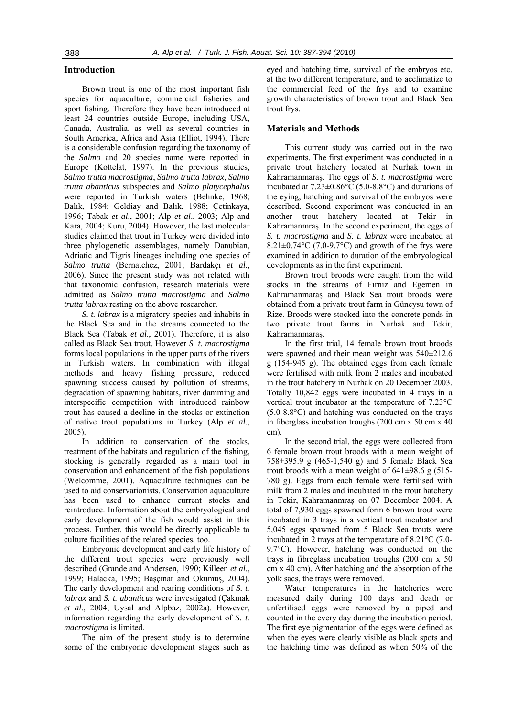# **Introduction**

Brown trout is one of the most important fish species for aquaculture, commercial fisheries and sport fishing. Therefore they have been introduced at least 24 countries outside Europe, including USA, Canada, Australia, as well as several countries in South America, Africa and Asia (Elliot, 1994). There is a considerable confusion regarding the taxonomy of the *Salmo* and 20 species name were reported in Europe (Kottelat, 1997). In the previous studies, *Salmo trutta macrostigma*, *Salmo trutta labrax*, *Salmo trutta abanticus* subspecies and *Salmo platycephalus* were reported in Turkish waters (Behnke, 1968; Balık, 1984; Geldiay and Balık, 1988; Çetinkaya, 1996; Tabak *et al*., 2001; Alp *et al*., 2003; Alp and Kara, 2004; Kuru, 2004). However, the last molecular studies claimed that trout in Turkey were divided into three phylogenetic assemblages, namely Danubian, Adriatic and Tigris lineages including one species of *Salmo trutta* (Bernatchez, 2001; Bardakçı *et al*., 2006). Since the present study was not related with that taxonomic confusion, research materials were admitted as *Salmo trutta macrostigma* and *Salmo trutta labrax* resting on the above researcher.

*S. t. labrax* is a migratory species and inhabits in the Black Sea and in the streams connected to the Black Sea (Tabak *et al*., 2001). Therefore, it is also called as Black Sea trout. However *S. t. macrostigma* forms local populations in the upper parts of the rivers in Turkish waters. In combination with illegal methods and heavy fishing pressure, reduced spawning success caused by pollution of streams, degradation of spawning habitats, river damming and interspecific competition with introduced rainbow trout has caused a decline in the stocks or extinction of native trout populations in Turkey (Alp *et al*., 2005).

In addition to conservation of the stocks, treatment of the habitats and regulation of the fishing, stocking is generally regarded as a main tool in conservation and enhancement of the fish populations (Welcomme, 2001). Aquaculture techniques can be used to aid conservationists. Conservation aquaculture has been used to enhance current stocks and reintroduce. Information about the embryological and early development of the fish would assist in this process. Further, this would be directly applicable to culture facilities of the related species, too.

Embryonic development and early life history of the different trout species were previously well described (Grande and Andersen, 1990; Killeen *et al*., 1999; Halacka, 1995; Başçınar and Okumuş, 2004). The early development and rearing conditions of *S. t. labrax* and *S. t. abanticus* were investigated (Çakmak *et al*., 2004; Uysal and Alpbaz, 2002a). However, information regarding the early development of *S. t. macrostigma* is limited.

The aim of the present study is to determine some of the embryonic development stages such as

eyed and hatching time, survival of the embryos etc. at the two different temperature, and to acclimatize to the commercial feed of the frys and to examine growth characteristics of brown trout and Black Sea trout frys.

# **Materials and Methods**

This current study was carried out in the two experiments. The first experiment was conducted in a private trout hatchery located at Nurhak town in Kahramanmaraş. The eggs of *S. t. macrostigma* were incubated at  $7.23\pm0.86^{\circ}$ C (5.0-8.8°C) and durations of the eying, hatching and survival of the embryos were described. Second experiment was conducted in an another trout hatchery located at Tekir in Kahramanmraş. In the second experiment, the eggs of *S. t. macrostigma* and *S. t. labrax* were incubated at 8.21 $\pm$ 0.74°C (7.0-9.7°C) and growth of the frys were examined in addition to duration of the embryological developments as in the first experiment.

Brown trout broods were caught from the wild stocks in the streams of Fırnız and Egemen in Kahramanmaraş and Black Sea trout broods were obtained from a private trout farm in Güneysu town of Rize. Broods were stocked into the concrete ponds in two private trout farms in Nurhak and Tekir, Kahramanmaraş.

In the first trial, 14 female brown trout broods were spawned and their mean weight was 540±212.6 g (154-945 g). The obtained eggs from each female were fertilised with milk from 2 males and incubated in the trout hatchery in Nurhak on 20 December 2003. Totally 10,842 eggs were incubated in 4 trays in a vertical trout incubator at the temperature of 7.23°C (5.0-8.8°C) and hatching was conducted on the trays in fiberglass incubation troughs (200 cm x 50 cm x 40 cm).

In the second trial, the eggs were collected from 6 female brown trout broods with a mean weight of 758±395.9 g (465-1,540 g) and 5 female Black Sea trout broods with a mean weight of  $641\pm98.6$  g (515-780 g). Eggs from each female were fertilised with milk from 2 males and incubated in the trout hatchery in Tekir, Kahramanmraş on 07 December 2004. A total of 7,930 eggs spawned form 6 brown trout were incubated in 3 trays in a vertical trout incubator and 5,045 eggs spawned from 5 Black Sea trouts were incubated in 2 trays at the temperature of 8.21°C (7.0- 9.7°C). However, hatching was conducted on the trays in fibreglass incubation troughs (200 cm x 50 cm x 40 cm). After hatching and the absorption of the yolk sacs, the trays were removed.

Water temperatures in the hatcheries were measured daily during 100 days and death or unfertilised eggs were removed by a piped and counted in the every day during the incubation period. The first eye pigmentation of the eggs were defined as when the eyes were clearly visible as black spots and the hatching time was defined as when 50% of the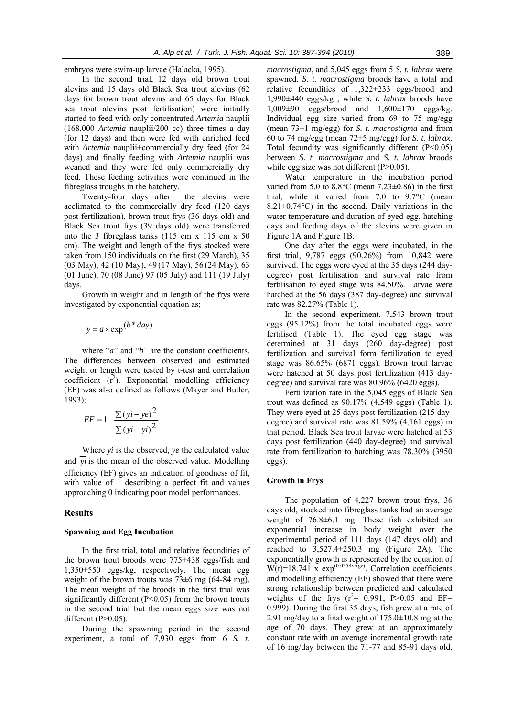embryos were swim-up larvae (Halacka, 1995).

In the second trial, 12 days old brown trout alevins and 15 days old Black Sea trout alevins (62 days for brown trout alevins and 65 days for Black sea trout alevins post fertilisation) were initially started to feed with only concentrated *Artemia* nauplii (168,000 *Artemia* nauplii/200 cc) three times a day (for 12 days) and then were fed with enriched feed with *Artemia* nauplii+commercially dry feed (for 24 days) and finally feeding with *Artemia* nauplii was weaned and they were fed only commercially dry feed. These feeding activities were continued in the fibreglass troughs in the hatchery.

Twenty-four days after the alevins were acclimated to the commercially dry feed (120 days post fertilization), brown trout frys (36 days old) and Black Sea trout frys (39 days old) were transferred into the 3 fibreglass tanks (115 cm x 115 cm x 50 cm). The weight and length of the frys stocked were taken from 150 individuals on the first (29 March), 35 (03 May), 42 (10 May), 49 (17 May), 56 (24 May), 63 (01 June), 70 (08 June) 97 (05 July) and 111 (19 July) days.

Growth in weight and in length of the frys were investigated by exponential equation as;

$$
y = a \times \exp(b * day)
$$

where "*a*" and "*b*" are the constant coefficients. The differences between observed and estimated weight or length were tested by t-test and correlation coefficient  $(r^2)$ . Exponential modelling efficiency (EF) was also defined as follows (Mayer and Butler, 1993);

$$
EF = 1 - \frac{\sum (yi - ye)^2}{\sum (yi - yi)^2}
$$

Where *yi* is the observed, *ye* the calculated value and  $\overline{vi}$  is the mean of the observed value. Modelling efficiency (EF) gives an indication of goodness of fit, with value of 1 describing a perfect fit and values approaching 0 indicating poor model performances.

# **Results**

### **Spawning and Egg Incubation**

In the first trial, total and relative fecundities of the brown trout broods were 775±438 eggs/fish and 1,350±550 eggs/kg, respectively. The mean egg weight of the brown trouts was  $73\pm6$  mg (64-84 mg). The mean weight of the broods in the first trial was significantly different  $(P<0.05)$  from the brown trouts in the second trial but the mean eggs size was not different  $(P>0.05)$ .

During the spawning period in the second experiment, a total of 7,930 eggs from 6 *S. t.*  *macrostigma*, and 5,045 eggs from 5 *S. t. labrax* were spawned. *S. t. macrostigma* broods have a total and relative fecundities of 1,322±233 eggs/brood and 1,990±440 eggs/kg , while *S. t. labrax* broods have  $1,009\pm90$  eggs/brood and  $1,600\pm170$  eggs/kg. Individual egg size varied from 69 to 75 mg/egg (mean 73±1 mg/egg) for *S. t. macrostigma* and from 60 to 74 mg/egg (mean 72±5 mg/egg) for *S. t. labrax*. Total fecundity was significantly different  $(P<0.05)$ between *S. t. macrostigma* and *S. t. labrax* broods while egg size was not different  $(P>0.05)$ .

Water temperature in the incubation period varied from 5.0 to  $8.8^{\circ}$ C (mean  $7.23\pm0.86$ ) in the first trial, while it varied from 7.0 to 9.7°C (mean  $8.21 \pm 0.74$ °C) in the second. Daily variations in the water temperature and duration of eyed-egg, hatching days and feeding days of the alevins were given in Figure 1A and Figure 1B.

One day after the eggs were incubated, in the first trial, 9,787 eggs (90.26%) from 10,842 were survived. The eggs were eyed at the 35 days (244 daydegree) post fertilisation and survival rate from fertilisation to eyed stage was 84.50%. Larvae were hatched at the 56 days (387 day-degree) and survival rate was 82.27% (Table 1).

In the second experiment, 7,543 brown trout eggs (95.12%) from the total incubated eggs were fertilised (Table 1). The eyed egg stage was determined at 31 days (260 day-degree) post fertilization and survival form fertilization to eyed stage was 86.65% (6871 eggs). Brown trout larvae were hatched at 50 days post fertilization (413 daydegree) and survival rate was 80.96% (6420 eggs).

Fertilization rate in the 5,045 eggs of Black Sea trout was defined as 90.17% (4,549 eggs) (Table 1). They were eyed at 25 days post fertilization (215 daydegree) and survival rate was 81.59% (4,161 eggs) in that period. Black Sea trout larvae were hatched at 53 days post fertilization (440 day-degree) and survival rate from fertilization to hatching was 78.30% (3950 eggs).

### **Growth in Frys**

The population of 4,227 brown trout frys, 36 days old, stocked into fibreglass tanks had an average weight of 76.8±6.1 mg. These fish exhibited an exponential increase in body weight over the experimental period of 111 days (147 days old) and reached to 3,527.4±250.3 mg (Figure 2A). The exponentially growth is represented by the equation of  $W(t)=18.741 \times \exp^{(0.0358xAge)}$ . Correlation coefficients and modelling efficiency (EF) showed that there were strong relationship between predicted and calculated weights of the frys  $(r^2 = 0.991, P > 0.05$  and EF= 0.999). During the first 35 days, fish grew at a rate of 2.91 mg/day to a final weight of  $175.0\pm10.8$  mg at the age of 70 days. They grew at an approximately constant rate with an average incremental growth rate of 16 mg/day between the 71-77 and 85-91 days old.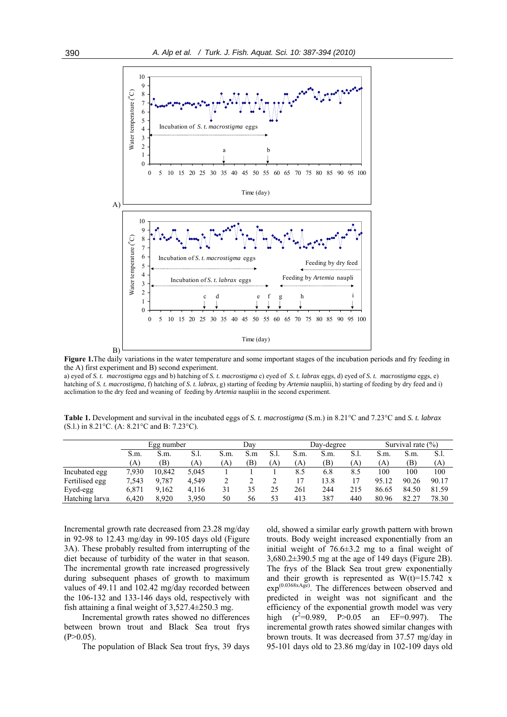

**Figure 1.**The daily variations in the water temperature and some important stages of the incubation periods and fry feeding in the A) first experiment and B) second experiment.

a) eyed of *S. t. macrostigma* eggs and b) hatching of *S. t. macrostigma* c) eyed of *S. t. labrax* eggs, d) eyed of *S. t. macrostigma* eggs, e) hatching of *S. t. macrostigma*, f) hatching of *S. t. labrax*, g) starting of feeding by *Artemia* naupliii, h) starting of feeding by dry feed and i) acclimation to the dry feed and weaning of feeding by *Artemia* naupliii in the second experiment.

**Table 1.** Development and survival in the incubated eggs of *S. t. macrostigma* (S.m.) in 8.21°C and 7.23°C and *S. t. labrax*  (S.l.) in 8.21°C. (A: 8.21°C and B: 7.23°C).

|                | Egg number |        |       | Dav       |     |     | Day-degree |      |      | Survival rate $(\% )$ |       |       |
|----------------|------------|--------|-------|-----------|-----|-----|------------|------|------|-----------------------|-------|-------|
|                | S.m.       | S.m.   | S.I.  | S.m.      | S.m | S.1 | S.m.       | S.m. | S.1. | S.m.                  | S.m.  | S.1.  |
|                | (A)        | B)     | (A)   | $\Lambda$ | (B) | (A) | (A)        | (B)  | (A`  | A)                    | (B)   | (A`   |
| Incubated egg  | 7,930      | 10.842 | 5.045 |           |     |     | 8.5        | 6.8  | 8.5  | 100                   | 100   | 100   |
| Fertilised egg | 7.543      | 9.787  | 4.549 |           |     |     | 17         | 13.8 |      | 95.12                 | 90.26 | 90.17 |
| Eyed-egg       | 6.871      | 9.162  | 4,116 | 31        | 35  | 25  | 261        | 244  | 215  | 86.65                 | 84.50 | 81.59 |
| Hatching larva | 6,420      | 8.920  | 3,950 | 50        | 56  | 53  | 413        | 387  | 440  | 80.96                 | 82.27 | 78.30 |

Incremental growth rate decreased from 23.28 mg/day in 92-98 to 12.43 mg/day in 99-105 days old (Figure 3A). These probably resulted from interrupting of the diet because of turbidity of the water in that season. The incremental growth rate increased progressively during subsequent phases of growth to maximum values of 49.11 and 102.42 mg/day recorded between the 106-132 and 133-146 days old, respectively with fish attaining a final weight of 3,527.4±250.3 mg.

Incremental growth rates showed no differences between brown trout and Black Sea trout frys  $(P>0.05)$ .

The population of Black Sea trout frys, 39 days

old, showed a similar early growth pattern with brown trouts. Body weight increased exponentially from an initial weight of 76.6±3.2 mg to a final weight of 3,680.2±390.5 mg at the age of 149 days (Figure 2B). The frys of the Black Sea trout grew exponentially and their growth is represented as  $W(t)=15.742$  x  $\exp^{(0.0368x\text{Age})}$ . The differences between observed and predicted in weight was not significant and the efficiency of the exponential growth model was very high  $(r^2=0.989, P>0.05$  an EF=0.997). The incremental growth rates showed similar changes with brown trouts. It was decreased from 37.57 mg/day in 95-101 days old to 23.86 mg/day in 102-109 days old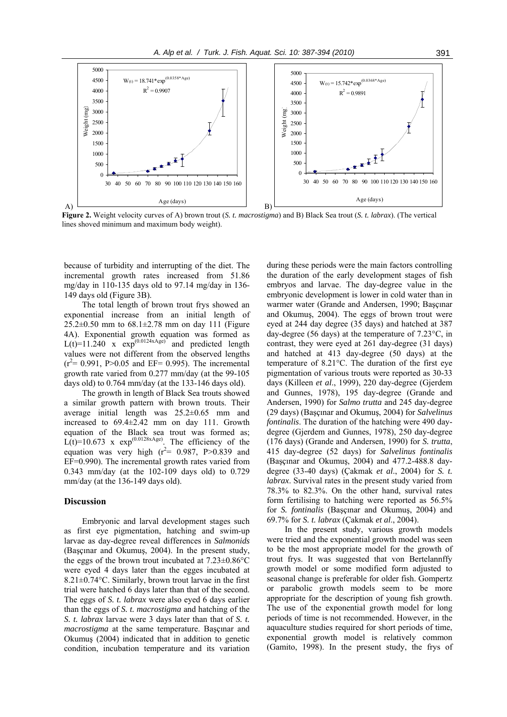

**Figure 2.** Weight velocity curves of A) brown trout (*S. t. macrostigma*) and B) Black Sea trout (*S. t. labrax*). (The vertical lines shoved minimum and maximum body weight).

because of turbidity and interrupting of the diet. The incremental growth rates increased from 51.86 mg/day in 110-135 days old to 97.14 mg/day in 136- 149 days old (Figure 3B).

The total length of brown trout frys showed an exponential increase from an initial length of  $25.2\pm0.50$  mm to  $68.1\pm2.78$  mm on day 111 (Figure 4A). Exponential growth equation was formed as  $L(t)=11.240$  x  $\exp^{(0.0124 \times \text{Age})}$  and predicted length values were not different from the observed lengths  $(r^2 = 0.991, P > 0.05$  and EF= 0.995). The incremental growth rate varied from 0.277 mm/day (at the 99-105 days old) to 0.764 mm/day (at the 133-146 days old).

The growth in length of Black Sea trouts showed a similar growth pattern with brown trouts. Their average initial length was 25.2±0.65 mm and increased to 69.4±2.42 mm on day 111. Growth equation of the Black sea trout was formed as;  $L(t)=10.673$  x  $\exp^{(0.0128xAge)}$ . The efficiency of the equation was very high  $(r^2 = 0.987, P > 0.839)$  and EF=0.990). The incremental growth rates varied from 0.343 mm/day (at the 102-109 days old) to 0.729 mm/day (at the 136-149 days old).

#### **Discussion**

Embryonic and larval development stages such as first eye pigmentation, hatching and swim-up larvae as day-degree reveal differences in *Salmonids* (Başçınar and Okumuş, 2004). In the present study, the eggs of the brown trout incubated at 7.23±0.86°C were eyed 4 days later than the egges incubated at 8.21 $\pm$ 0.74 $\degree$ C. Similarly, brown trout larvae in the first trial were hatched 6 days later than that of the second. The eggs of *S. t. labrax* were also eyed 6 days earlier than the eggs of *S. t. macrostigma* and hatching of the *S. t. labrax* larvae were 3 days later than that of *S. t. macrostigma* at the same temperature. Başçınar and Okumuş (2004) indicated that in addition to genetic condition, incubation temperature and its variation

during these periods were the main factors controlling the duration of the early development stages of fish embryos and larvae. The day-degree value in the embryonic development is lower in cold water than in warmer water (Grande and Andersen, 1990; Başçınar and Okumuş, 2004). The eggs of brown trout were eyed at 244 day degree (35 days) and hatched at 387 day-degree (56 days) at the temperature of 7.23°C, in contrast, they were eyed at 261 day-degree (31 days) and hatched at 413 day-degree (50 days) at the temperature of 8.21°C. The duration of the first eye pigmentation of various trouts were reported as 30-33 days (Killeen *et al*., 1999), 220 day-degree (Gjerdem and Gunnes, 1978), 195 day-degree (Grande and Andersen, 1990) for *Salmo trutta* and 245 day-degree (29 days) (Başçınar and Okumuş, 2004) for *Salvelinus fontinalis*. The duration of the hatching were 490 daydegree (Gjerdem and Gunnes, 1978), 250 day-degree (176 days) (Grande and Andersen, 1990) for *S. trutta*, 415 day-degree (52 days) for *Salvelinus fontinalis* (Başçınar and Okumuş, 2004) and 477.2-488.8 daydegree (33-40 days) (Çakmak *et al*., 2004) for *S. t. labrax*. Survival rates in the present study varied from 78.3% to 82.3%. On the other hand, survival rates form fertilising to hatching were reported as 56.5% for *S. fontinalis* (Başçınar and Okumuş, 2004) and 69.7% for *S. t. labrax* (Çakmak *et al*., 2004).

In the present study, various growth models were tried and the exponential growth model was seen to be the most appropriate model for the growth of trout frys. It was suggested that von Bertelannffy growth model or some modified form adjusted to seasonal change is preferable for older fish. Gompertz or parabolic growth models seem to be more appropriate for the description of young fish growth. The use of the exponential growth model for long periods of time is not recommended. However, in the aquaculture studies required for short periods of time, exponential growth model is relatively common (Gamito, 1998). In the present study, the frys of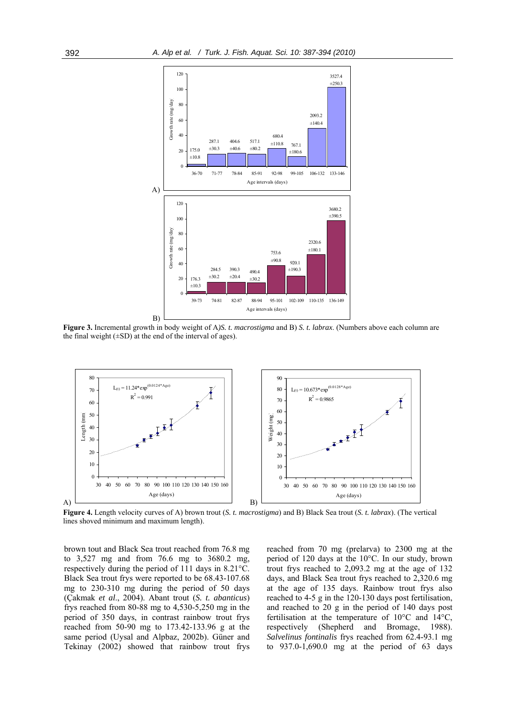

**Figure 3.** Incremental growth in body weight of A*)S. t. macrostigma* and B) *S. t. labrax*. (Numbers above each column are the final weight  $(\pm SD)$  at the end of the interval of ages).



**Figure 4.** Length velocity curves of A) brown trout (*S. t. macrostigma*) and B) Black Sea trout (*S. t. labrax*). (The vertical lines shoved minimum and maximum length).

brown tout and Black Sea trout reached from 76.8 mg to 3,527 mg and from 76.6 mg to 3680.2 mg, respectively during the period of 111 days in 8.21°C. Black Sea trout frys were reported to be 68.43-107.68 mg to 230-310 mg during the period of 50 days (Çakmak *et al*., 2004). Abant trout (*S. t. abanticus*) frys reached from 80-88 mg to 4,530-5,250 mg in the period of 350 days, in contrast rainbow trout frys reached from 50-90 mg to 173.42-133.96 g at the same period (Uysal and Alpbaz, 2002b). Güner and Tekinay (2002) showed that rainbow trout frys

reached from 70 mg (prelarva) to 2300 mg at the period of 120 days at the 10°C. In our study, brown trout frys reached to 2,093.2 mg at the age of 132 days, and Black Sea trout frys reached to 2,320.6 mg at the age of 135 days. Rainbow trout frys also reached to 4-5 g in the 120-130 days post fertilisation, and reached to 20 g in the period of 140 days post fertilisation at the temperature of 10°C and 14°C, respectively (Shepherd and Bromage, 1988). *Salvelinus fontinalis* frys reached from 62.4-93.1 mg to 937.0-1,690.0 mg at the period of 63 days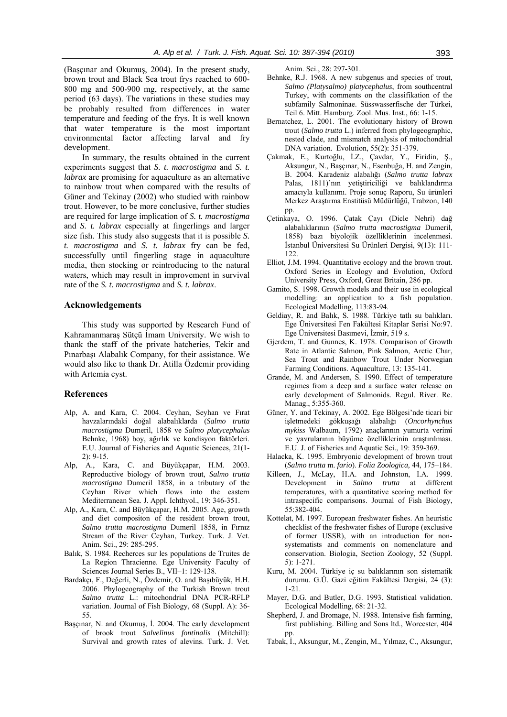(Başçınar and Okumuş, 2004). In the present study, brown trout and Black Sea trout frys reached to 600- 800 mg and 500-900 mg, respectively, at the same period (63 days). The variations in these studies may be probably resulted from differences in water temperature and feeding of the frys. It is well known that water temperature is the most important environmental factor affecting larval and fry development.

In summary, the results obtained in the current experiments suggest that *S. t. macrostigma* and *S. t. labrax* are promising for aquaculture as an alternative to rainbow trout when compared with the results of Güner and Tekinay (2002) who studied with rainbow trout. However, to be more conclusive, further studies are required for large implication of *S. t. macrostigma* and *S. t. labrax* especially at fingerlings and larger size fish. This study also suggests that it is possible *S. t. macrostigma* and *S. t. labrax* fry can be fed, successfully until fingerling stage in aquaculture media, then stocking or reintroducing to the natural waters, which may result in improvement in survival rate of the *S. t. macrostigma* and *S. t. labrax*.

## **Acknowledgements**

This study was supported by Research Fund of Kahramanmaraş Sütçü İmam University. We wish to thank the staff of the private hatcheries, Tekir and Pınarbaşı Alabalık Company, for their assistance. We would also like to thank Dr. Atilla Özdemir providing with Artemia cyst.

### **References**

- Alp, A. and Kara, C. 2004. Ceyhan, Seyhan ve Fırat havzalarındaki doğal alabalıklarda (*Salmo trutta macrostigma* Dumeril, 1858 ve *Salmo platycephalus* Behnke, 1968) boy, ağırlık ve kondisyon faktörleri. E.U. Journal of Fisheries and Aquatic Sciences, 21(1- 2): 9-15.
- Alp, A., Kara, C. and Büyükçapar, H.M. 2003. Reproductive biology of brown trout, *Salmo trutta macrostigma* Dumeril 1858, in a tributary of the Ceyhan River which flows into the eastern Mediterranean Sea. J. Appl. Ichthyol., 19: 346-351.
- Alp, A., Kara, C. and Büyükçapar, H.M. 2005. Age, growth and diet compositon of the resident brown trout, *Salmo trutta macrostigma* Dumeril 1858, in Fırnız Stream of the River Ceyhan, Turkey. Turk. J. Vet. Anim. Sci., 29: 285-295.
- Balık, S. 1984. Recherces sur les populations de Truites de La Region Thracienne. Ege University Faculty of Sciences Journal Series B., VII–1: 129-138.
- Bardakçı, F., Değerli, N., Özdemir, O. and Başıbüyük, H.H. 2006. Phylogeography of the Turkish Brown trout *Salmo trutta* L.: mitochondrial DNA PCR-RFLP variation. Journal of Fish Biology, 68 (Suppl. A): 36- 55.
- Başçınar, N. and Okumuş, İ. 2004. The early development of brook trout *Salvelinus fontinalis* (Mitchill): Survival and growth rates of alevins. Turk. J. Vet.

Anim. Sci., 28: 297-301.

- Behnke, R.J. 1968. A new subgenus and species of trout, *Salmo (Platysalmo) platycephalus*, from southcentral Turkey, with comments on the classifikation of the subfamily Salmoninae. Süsswasserfische der Türkei, Teil 6. Mitt. Hamburg. Zool. Mus. Inst., 66: 1-15.
- Bernatchez, L. 2001. The evolutionary history of Brown trout (*Salmo trutta* L.) inferred from phylogeographic, nested clade, and mismatch analysis of mitochondrial DNA variation. Evolution, 55(2): 351-379.
- Çakmak, E., Kurtoğlu, İ.Z., Çavdar, Y., Firidin, Ş., Aksungur, N., Başçınar, N., Esenbuğa, H. and Zengin, B. 2004. Karadeniz alabalığı (*Salmo trutta labrax* Palas, 1811)'nın yetiştiriciliği ve balıklandırma amacıyla kullanımı. Proje sonuç Raporu, Su ürünleri Merkez Araştırma Enstitüsü Müdürlüğü, Trabzon, 140 pp.
- Çetinkaya, O. 1996. Çatak Çayı (Dicle Nehri) dağ alabalıklarının (*Salmo trutta macrostigma* Dumeril, 1858) bazı biyolojik özelliklerinin incelenmesi. İstanbul Üniversitesi Su Ürünleri Dergisi, 9(13): 111- 122.
- Elliot, J.M. 1994. Quantitative ecology and the brown trout. Oxford Series in Ecology and Evolution, Oxford University Press, Oxford, Great Britain, 286 pp.
- Gamito, S. 1998. Growth models and their use in ecological modelling: an application to a fish population. Ecological Modelling, 113:83-94.
- Geldiay, R. and Balık, S. 1988. Türkiye tatlı su balıkları. Ege Üniversitesi Fen Fakültesi Kitaplar Serisi No:97. Ege Üniversitesi Basımevi, İzmir, 519 s.
- Gjerdem, T. and Gunnes, K. 1978. Comparison of Growth Rate in Atlantic Salmon, Pink Salmon, Arctic Char, Sea Trout and Rainbow Trout Under Norwegian Farming Conditions. Aquaculture, 13: 135-141.
- Grande, M. and Andersen, S. 1990. Effect of temperature regimes from a deep and a surface water release on early development of Salmonids. Regul. River. Re. Manag., 5:355-360.
- Güner, Y. and Tekinay, A. 2002. Ege Bölgesi'nde ticari bir işletmedeki gökkuşağı alabalığı (*Oncorhynchus mykiss* Walbaum, 1792) anaçlarının yumurta verimi ve yavrularının büyüme özelliklerinin araştırılması. E.U. J. of Fisheries and Aquatic Sci., 19: 359-369.
- Halacka, K. 1995. Embryonic development of brown trout (*Salmo trutta* m. *fario*). *Folia Zoologica,* 44, 175–184.
- Killeen, J., McLay, H.A. and Johnston, I.A. 1999. Development in *Salmo trutta* at different temperatures, with a quantitative scoring method for intraspecific comparisons. Journal of Fish Biology, 55:382-404.
- Kottelat, M. 1997. European freshwater fishes. An heuristic checklist of the freshwater fishes of Europe (exclusive of former USSR), with an introduction for nonsystematists and comments on nomenclature and conservation. Biologia, Section Zoology, 52 (Suppl. 5): 1-271.
- Kuru, M. 2004. Türkiye iç su balıklarının son sistematik durumu. G.Ü. Gazi eğitim Fakültesi Dergisi, 24 (3): 1-21.
- Mayer, D.G. and Butler, D.G. 1993. Statistical validation. Ecological Modelling, 68: 21-32.
- Shepherd, J. and Bromage, N. 1988. Intensive fish farming, first publishing. Billing and Sons ltd., Worcester, 404 pp.
- Tabak, İ., Aksungur, M., Zengin, M., Yılmaz, C., Aksungur,